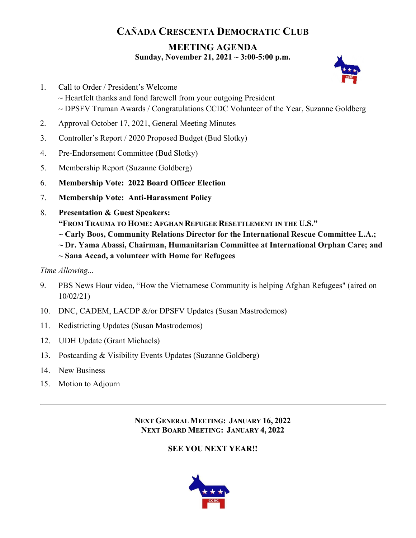# **CAÑADA CRESCENTA DEMOCRATIC CLUB**

### **MEETING AGENDA Sunday, November 21, 2021 ~ 3:00-5:00 p.m.**



- 1. Call to Order / President's Welcome  $\sim$  Heartfelt thanks and fond farewell from your outgoing President ~ DPSFV Truman Awards / Congratulations CCDC Volunteer of the Year, Suzanne Goldberg
- 2. Approval October 17, 2021, General Meeting Minutes
- 3. Controller's Report / 2020 Proposed Budget (Bud Slotky)
- 4. Pre-Endorsement Committee (Bud Slotky)
- 5. Membership Report (Suzanne Goldberg)
- 6. **Membership Vote: 2022 Board Officer Election**
- 7. **Membership Vote: Anti-Harassment Policy**
- 8. **Presentation & Guest Speakers:** 
	- **"FROM TRAUMA TO HOME: AFGHAN REFUGEE RESETTLEMENT IN THE U.S."**
	- **~ Carly Boos, Community Relations Director for the International Rescue Committee L.A.;**
	- **~ Dr. Yama Abassi, Chairman, Humanitarian Committee at International Orphan Care; and**
	- **~ Sana Accad, a volunteer with Home for Refugees**
- *Time Allowing...*
- 9. PBS News Hour video, "How the Vietnamese Community is helping Afghan Refugees" (aired on 10/02/21)
- 10. DNC, CADEM, LACDP &/or DPSFV Updates (Susan Mastrodemos)
- 11. Redistricting Updates (Susan Mastrodemos)
- 12. UDH Update (Grant Michaels)
- 13. Postcarding & Visibility Events Updates (Suzanne Goldberg)
- 14. New Business
- 15. Motion to Adjourn

**NEXT GENERAL MEETING: JANUARY 16, 2022 NEXT BOARD MEETING: JANUARY 4, 2022**

## **SEE YOU NEXT YEAR!!**